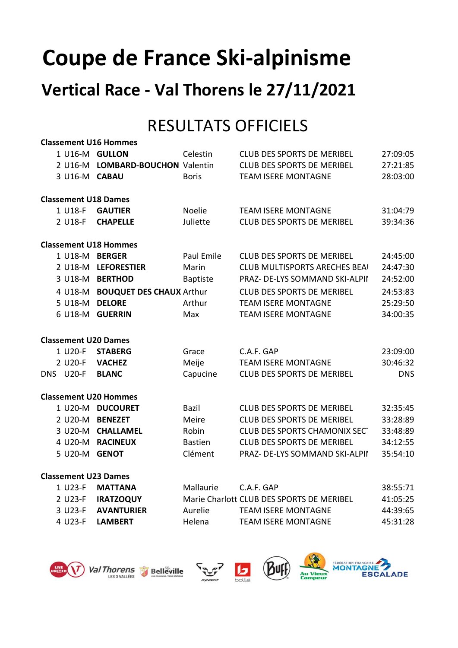# Coupe de France Ski-alpinisme

## Vertical Race - Val Thorens le 27/11/2021

## RESULTATS OFFICIELS

|                             | <b>Classement U16 Hommes</b> |                                  |                 |                                           |            |  |
|-----------------------------|------------------------------|----------------------------------|-----------------|-------------------------------------------|------------|--|
|                             |                              | 1 U16-M GULLON                   | Celestin        | <b>CLUB DES SPORTS DE MERIBEL</b>         | 27:09:05   |  |
|                             |                              | 2 U16-M LOMBARD-BOUCHON Valentin |                 | <b>CLUB DES SPORTS DE MERIBEL</b>         | 27:21:85   |  |
|                             | 3 U16-M CABAU                |                                  | <b>Boris</b>    | <b>TEAM ISERE MONTAGNE</b>                | 28:03:00   |  |
|                             |                              | <b>Classement U18 Dames</b>      |                 |                                           |            |  |
|                             | 1 U18-F                      | <b>GAUTIER</b>                   | <b>Noelie</b>   | <b>TEAM ISERE MONTAGNE</b>                | 31:04:79   |  |
|                             | 2 U18-F                      | <b>CHAPELLE</b>                  | Juliette        | <b>CLUB DES SPORTS DE MERIBEL</b>         | 39:34:36   |  |
|                             |                              | <b>Classement U18 Hommes</b>     |                 |                                           |            |  |
|                             |                              | 1 U18-M BERGER                   | Paul Emile      | <b>CLUB DES SPORTS DE MERIBEL</b>         | 24:45:00   |  |
|                             |                              | 2 U18-M LEFORESTIER              | Marin           | <b>CLUB MULTISPORTS ARECHES BEAI</b>      | 24:47:30   |  |
|                             |                              | 3 U18-M BERTHOD                  | <b>Baptiste</b> | PRAZ- DE-LYS SOMMAND SKI-ALPIN            | 24:52:00   |  |
|                             |                              | 4 U18-M BOUQUET DES CHAUX Arthur |                 | <b>CLUB DES SPORTS DE MERIBEL</b>         | 24:53:83   |  |
|                             |                              | 5 U18-M DELORE                   | Arthur          | <b>TEAM ISERE MONTAGNE</b>                | 25:29:50   |  |
|                             |                              | 6 U18-M GUERRIN                  | Max             | <b>TEAM ISERE MONTAGNE</b>                | 34:00:35   |  |
|                             |                              | <b>Classement U20 Dames</b>      |                 |                                           |            |  |
|                             | 1 U20-F                      | <b>STABERG</b>                   | Grace           | C.A.F. GAP                                | 23:09:00   |  |
|                             | 2 U20-F                      | <b>VACHEZ</b>                    | Meije           | <b>TEAM ISERE MONTAGNE</b>                | 30:46:32   |  |
|                             | DNS U20-F                    | <b>BLANC</b>                     | Capucine        | <b>CLUB DES SPORTS DE MERIBEL</b>         | <b>DNS</b> |  |
|                             |                              | <b>Classement U20 Hommes</b>     |                 |                                           |            |  |
|                             |                              | 1 U20-M DUCOURET                 | Bazil           | <b>CLUB DES SPORTS DE MERIBEL</b>         | 32:35:45   |  |
|                             |                              | 2 U20-M BENEZET                  | Meire           | <b>CLUB DES SPORTS DE MERIBEL</b>         | 33:28:89   |  |
|                             |                              | 3 U20-M CHALLAMEL                | Robin           | <b>CLUB DES SPORTS CHAMONIX SECT</b>      | 33:48:89   |  |
|                             |                              | 4 U20-M RACINEUX                 | <b>Bastien</b>  | <b>CLUB DES SPORTS DE MERIBEL</b>         | 34:12:55   |  |
|                             | 5 U20-M GENOT                |                                  | Clément         | PRAZ- DE-LYS SOMMAND SKI-ALPIN            | 35:54:10   |  |
| <b>Classement U23 Dames</b> |                              |                                  |                 |                                           |            |  |
|                             | 1 U23-F                      | <b>MATTANA</b>                   | Mallaurie       | C.A.F. GAP                                | 38:55:71   |  |
|                             | 2 U23-F                      | <b>IRATZOQUY</b>                 |                 | Marie Charlott CLUB DES SPORTS DE MERIBEL | 41:05:25   |  |
|                             | 3 U23-F                      | <b>AVANTURIER</b>                | Aurelie         | <b>TEAM ISERE MONTAGNE</b>                | 44:39:65   |  |
|                             | 4 U23-F                      | <b>LAMBERT</b>                   | Helena          | <b>TEAM ISERE MONTAGNE</b>                | 45:31:28   |  |









LADE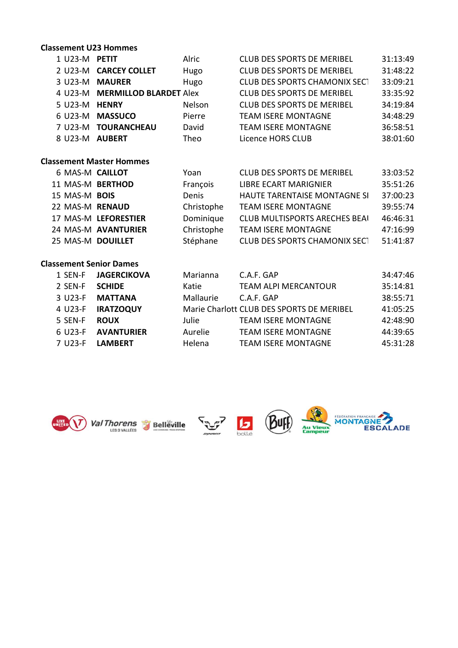#### Classement U23 Hommes

| 1 U23-M <b>PETIT</b>            | Alric         | <b>CLUB DES SPORTS DE MERIBEL</b>    | 31:13:49 |
|---------------------------------|---------------|--------------------------------------|----------|
| <b>CARCEY COLLET</b><br>2 U23-M | Hugo          | <b>CLUB DES SPORTS DE MERIBEL</b>    | 31:48:22 |
| 3 U23-M MAURER                  | Hugo          | <b>CLUB DES SPORTS CHAMONIX SECT</b> | 33:09:21 |
| 4 U23-M MERMILLOD BLARDET Alex  |               | <b>CLUB DES SPORTS DE MERIBEL</b>    | 33:35:92 |
| 5 U23-M <b>HENRY</b>            | <b>Nelson</b> | <b>CLUB DES SPORTS DE MERIBEL</b>    | 34:19:84 |
| 6 U23-M MASSUCO                 | Pierre        | <b>TEAM ISERE MONTAGNE</b>           | 34:48:29 |
| <b>TOURANCHEAU</b><br>7 U23-M   | David         | <b>TEAM ISERE MONTAGNE</b>           | 36:58:51 |
| <b>AUBERT</b><br>8 U23-M        | Theo          | Licence HORS CLUB                    | 38:01:60 |

#### Classement Master Hommes

| 6 MAS-M CAILLOT      | Yoan       | <b>CLUB DES SPORTS DE MERIBEL</b>    | 33:03:52 |
|----------------------|------------|--------------------------------------|----------|
| 11 MAS-M BERTHOD     | François   | <b>LIBRE ECART MARIGNIER</b>         | 35:51:26 |
| 15 MAS-M BOIS        | Denis      | HAUTE TARENTAISE MONTAGNE SI         | 37:00:23 |
| 22 MAS-M RENAUD      | Christophe | <b>TEAM ISERE MONTAGNE</b>           | 39:55:74 |
| 17 MAS-M LEFORESTIER | Dominique  | <b>CLUB MULTISPORTS ARECHES BEAI</b> | 46:46:31 |
| 24 MAS-M AVANTURIER  | Christophe | <b>TEAM ISERE MONTAGNE</b>           | 47:16:99 |
| 25 MAS-M DOUILLET    | Stéphane   | <b>CLUB DES SPORTS CHAMONIX SECT</b> | 51:41:87 |

#### Classement Senior Dames

| 1 SEN-F              | <b>JAGERCIKOVA</b> | Marianna  | C.A.F. GAP                                | 34:47:46 |
|----------------------|--------------------|-----------|-------------------------------------------|----------|
| 2 SEN-F              | <b>SCHIDE</b>      | Katie     | <b>TEAM ALPI MERCANTOUR</b>               | 35:14:81 |
| 3 U23-F              | <b>MATTANA</b>     | Mallaurie | C.A.F. GAP                                | 38:55:71 |
| 4 U23-F              | <b>IRATZOQUY</b>   |           | Marie Charlott CLUB DES SPORTS DE MERIBEL | 41:05:25 |
| 5 SEN-F              | <b>ROUX</b>        | Julie     | <b>TEAM ISERE MONTAGNE</b>                | 42:48:90 |
| 6 U23-F              | <b>AVANTURIER</b>  | Aurelie   | <b>TEAM ISERE MONTAGNE</b>                | 44:39:65 |
| 7 U <sub>23</sub> -F | <b>LAMBERT</b>     | Helena    | <b>TEAM ISERE MONTAGNE</b>                | 45:31:28 |











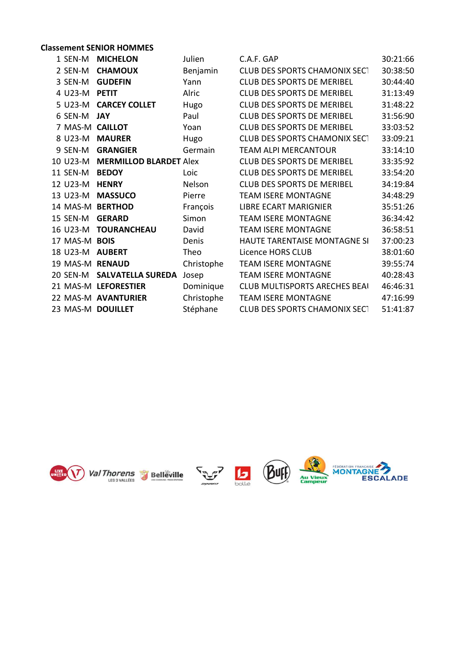### Classement SENIOR HOMMES

| 1 SEN-M       | <b>MICHELON</b>                 | Julien        | C.A.F. GAP                           | 30:21:66 |
|---------------|---------------------------------|---------------|--------------------------------------|----------|
| 2 SEN-M       | <b>CHAMOUX</b>                  | Benjamin      | <b>CLUB DES SPORTS CHAMONIX SECT</b> | 30:38:50 |
| 3 SEN-M       | <b>GUDEFIN</b>                  | Yann          | <b>CLUB DES SPORTS DE MERIBEL</b>    | 30:44:40 |
| 4 U23-M       | <b>PETIT</b>                    | Alric         | <b>CLUB DES SPORTS DE MERIBEL</b>    | 31:13:49 |
| 5 U23-M       | <b>CARCEY COLLET</b>            | Hugo          | <b>CLUB DES SPORTS DE MERIBEL</b>    | 31:48:22 |
| 6 SEN-M JAY   |                                 | Paul          | <b>CLUB DES SPORTS DE MERIBEL</b>    | 31:56:90 |
|               | 7 MAS-M CAILLOT                 | Yoan          | <b>CLUB DES SPORTS DE MERIBEL</b>    | 33:03:52 |
| 8 U23-M       | <b>MAURER</b>                   | Hugo          | <b>CLUB DES SPORTS CHAMONIX SECT</b> | 33:09:21 |
| 9 SEN-M       | <b>GRANGIER</b>                 | Germain       | <b>TEAM ALPI MERCANTOUR</b>          | 33:14:10 |
|               | 10 U23-M MERMILLOD BLARDET Alex |               | <b>CLUB DES SPORTS DE MERIBEL</b>    | 33:35:92 |
| 11 SEN-M      | <b>BEDOY</b>                    | Loic          | <b>CLUB DES SPORTS DE MERIBEL</b>    | 33:54:20 |
| 12 U23-M      | <b>HENRY</b>                    | <b>Nelson</b> | <b>CLUB DES SPORTS DE MERIBEL</b>    | 34:19:84 |
| 13 U23-M      | <b>MASSUCO</b>                  | Pierre        | <b>TEAM ISERE MONTAGNE</b>           | 34:48:29 |
|               | 14 MAS-M BERTHOD                | François      | LIBRE ECART MARIGNIER                | 35:51:26 |
| 15 SEN-M      | <b>GERARD</b>                   | Simon         | <b>TEAM ISERE MONTAGNE</b>           | 36:34:42 |
|               | 16 U23-M TOURANCHEAU            | David         | <b>TEAM ISERE MONTAGNE</b>           | 36:58:51 |
| 17 MAS-M BOIS |                                 | Denis         | HAUTE TARENTAISE MONTAGNE SI         | 37:00:23 |
|               | 18 U23-M <b>AUBERT</b>          | Theo          | Licence HORS CLUB                    | 38:01:60 |
|               | 19 MAS-M RENAUD                 | Christophe    | <b>TEAM ISERE MONTAGNE</b>           | 39:55:74 |
|               | 20 SEN-M SALVATELLA SUREDA      | Josep         | <b>TEAM ISERE MONTAGNE</b>           | 40:28:43 |
|               | 21 MAS-M LEFORESTIER            | Dominique     | <b>CLUB MULTISPORTS ARECHES BEAI</b> | 46:46:31 |
|               | 22 MAS-M AVANTURIER             | Christophe    | <b>TEAM ISERE MONTAGNE</b>           | 47:16:99 |
|               | 23 MAS-M DOUILLET               | Stéphane      | <b>CLUB DES SPORTS CHAMONIX SECT</b> | 51:41:87 |
|               |                                 |               |                                      |          |









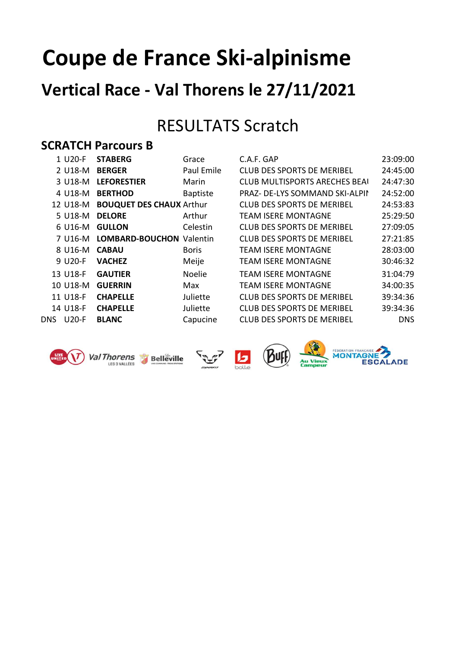# Coupe de France Ski-alpinisme

## Vertical Race - Val Thorens le 27/11/2021

## RESULTATS Scratch

### SCRATCH Parcours B

|      | 1 U20-F  | <b>STABERG</b>                  | Grace           | C.A.F. GAP                           | 23:09:00   |
|------|----------|---------------------------------|-----------------|--------------------------------------|------------|
|      | 2 U18-M  | <b>BERGER</b>                   | Paul Emile      | <b>CLUB DES SPORTS DE MERIBEL</b>    | 24:45:00   |
|      | 3 U18-M  | <b>LEFORESTIER</b>              | Marin           | <b>CLUB MULTISPORTS ARECHES BEAI</b> | 24:47:30   |
|      | 4 U18-M  | <b>BERTHOD</b>                  | <b>Baptiste</b> | PRAZ- DE-LYS SOMMAND SKI-ALPIN       | 24:52:00   |
|      | 12 U18-M | <b>BOUQUET DES CHAUX Arthur</b> |                 | <b>CLUB DES SPORTS DE MERIBEL</b>    | 24:53:83   |
|      | 5 U18-M  | <b>DELORE</b>                   | Arthur          | <b>TEAM ISERE MONTAGNE</b>           | 25:29:50   |
|      | 6 U16-M  | <b>GULLON</b>                   | Celestin        | <b>CLUB DES SPORTS DE MERIBEL</b>    | 27:09:05   |
|      | 7 U16-M  | <b>LOMBARD-BOUCHON Valentin</b> |                 | <b>CLUB DES SPORTS DE MERIBEL</b>    | 27:21:85   |
|      | 8 U16-M  | <b>CABAU</b>                    | <b>Boris</b>    | <b>TEAM ISERE MONTAGNE</b>           | 28:03:00   |
|      | 9 U20-F  | <b>VACHEZ</b>                   | Meije           | <b>TEAM ISERE MONTAGNE</b>           | 30:46:32   |
|      | 13 U18-F | <b>GAUTIER</b>                  | <b>Noelie</b>   | <b>TEAM ISERE MONTAGNE</b>           | 31:04:79   |
|      | 10 U18-M | <b>GUERRIN</b>                  | Max             | <b>TEAM ISERE MONTAGNE</b>           | 34:00:35   |
|      | 11 U18-F | <b>CHAPELLE</b>                 | Juliette        | <b>CLUB DES SPORTS DE MERIBEL</b>    | 39:34:36   |
|      | 14 U18-F | <b>CHAPELLE</b>                 | Juliette        | <b>CLUB DES SPORTS DE MERIBEL</b>    | 39:34:36   |
| DNS. | $U20-F$  | <b>BLANC</b>                    | Capucine        | <b>CLUB DES SPORTS DE MERIBEL</b>    | <b>DNS</b> |
|      |          |                                 |                 |                                      |            |

| 1 U20-F  | <b>STABERG</b>                  | Grace           | C.A.F. GAP                            | 23:09:00   |
|----------|---------------------------------|-----------------|---------------------------------------|------------|
| 2 U18-M  | <b>BERGER</b>                   | Paul Emile      | <b>CLUB DES SPORTS DE MERIBEL</b>     | 24:45:00   |
| 3 U18-M  | <b>LEFORESTIER</b>              | Marin           | <b>CLUB MULTISPORTS ARECHES BEAI</b>  | 24:47:30   |
| 4 U18-M  | <b>BERTHOD</b>                  | <b>Baptiste</b> | <b>PRAZ- DE-LYS SOMMAND SKI-ALPIN</b> | 24:52:00   |
| 12 U18-M | <b>BOUQUET DES CHAUX Arthur</b> |                 | <b>CLUB DES SPORTS DE MERIBEL</b>     | 24:53:83   |
| 5 U18-M  | <b>DELORE</b>                   | Arthur          | <b>TEAM ISERE MONTAGNE</b>            | 25:29:50   |
| 6 U16-M  | <b>GULLON</b>                   | Celestin        | <b>CLUB DES SPORTS DE MERIBEL</b>     | 27:09:05   |
| 7 U16-M  | <b>LOMBARD-BOUCHON Valentin</b> |                 | <b>CLUB DES SPORTS DE MERIBEL</b>     | 27:21:85   |
| 8 U16-M  | <b>CABAU</b>                    | <b>Boris</b>    | <b>TEAM ISERE MONTAGNE</b>            | 28:03:00   |
| 9 U20-F  | <b>VACHEZ</b>                   | Meije           | <b>TEAM ISERE MONTAGNE</b>            | 30:46:32   |
| 13 U18-F | <b>GAUTIER</b>                  | <b>Noelie</b>   | <b>TEAM ISERE MONTAGNE</b>            | 31:04:79   |
| 10 U18-M | <b>GUERRIN</b>                  | Max             | <b>TEAM ISERE MONTAGNE</b>            | 34:00:35   |
| 11 U18-F | <b>CHAPELLE</b>                 | Juliette        | <b>CLUB DES SPORTS DE MERIBEL</b>     | 39:34:36   |
| 14 U18-F | <b>CHAPELLE</b>                 | Juliette        | <b>CLUB DES SPORTS DE MERIBEL</b>     | 39:34:36   |
| S U20-F  | <b>BLANC</b>                    | Capucine        | <b>CLUB DES SPORTS DE MERIBEL</b>     | <b>DNS</b> |



Val Thorens Belleville